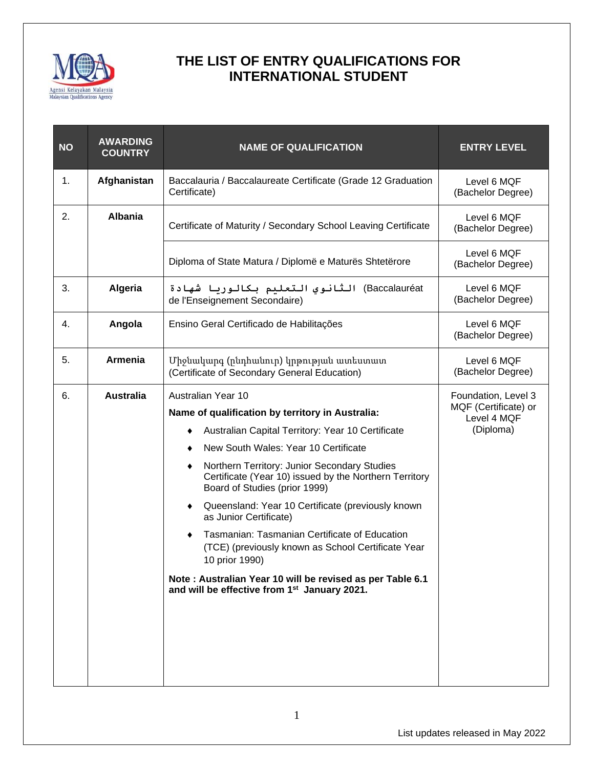

| <b>AWARDING</b><br><b>COUNTRY</b> | <b>NAME OF QUALIFICATION</b>                                                                                                                                                                                                                                                                                                                                                                                                                                                                                                                                                                                                                                                | <b>ENTRY LEVEL</b>                                                      |
|-----------------------------------|-----------------------------------------------------------------------------------------------------------------------------------------------------------------------------------------------------------------------------------------------------------------------------------------------------------------------------------------------------------------------------------------------------------------------------------------------------------------------------------------------------------------------------------------------------------------------------------------------------------------------------------------------------------------------------|-------------------------------------------------------------------------|
| Afghanistan                       | Baccalauria / Baccalaureate Certificate (Grade 12 Graduation<br>Certificate)                                                                                                                                                                                                                                                                                                                                                                                                                                                                                                                                                                                                | Level 6 MQF<br>(Bachelor Degree)                                        |
| <b>Albania</b>                    | Certificate of Maturity / Secondary School Leaving Certificate                                                                                                                                                                                                                                                                                                                                                                                                                                                                                                                                                                                                              | Level 6 MQF<br>(Bachelor Degree)                                        |
|                                   | Diploma of State Matura / Diplomë e Maturës Shtetërore                                                                                                                                                                                                                                                                                                                                                                                                                                                                                                                                                                                                                      | Level 6 MQF<br>(Bachelor Degree)                                        |
| Algeria                           | Baccalauréat) الثانوي التعليم بكالوريا شهادة<br>de l'Enseignement Secondaire)                                                                                                                                                                                                                                                                                                                                                                                                                                                                                                                                                                                               | Level 6 MQF<br>(Bachelor Degree)                                        |
| Angola                            | Ensino Geral Certificado de Habilitações                                                                                                                                                                                                                                                                                                                                                                                                                                                                                                                                                                                                                                    | Level 6 MQF<br>(Bachelor Degree)                                        |
| <b>Armenia</b>                    | Միջնակարգ (ընդհանուր) կրթության ատեստատ<br>(Certificate of Secondary General Education)                                                                                                                                                                                                                                                                                                                                                                                                                                                                                                                                                                                     | Level 6 MQF<br>(Bachelor Degree)                                        |
| <b>Australia</b>                  | Australian Year 10<br>Name of qualification by territory in Australia:<br>Australian Capital Territory: Year 10 Certificate<br>٠<br>New South Wales: Year 10 Certificate<br>Northern Territory: Junior Secondary Studies<br>٠<br>Certificate (Year 10) issued by the Northern Territory<br>Board of Studies (prior 1999)<br>Queensland: Year 10 Certificate (previously known<br>٠<br>as Junior Certificate)<br>Tasmanian: Tasmanian Certificate of Education<br>$\bullet$<br>(TCE) (previously known as School Certificate Year<br>10 prior 1990)<br>Note: Australian Year 10 will be revised as per Table 6.1<br>and will be effective from 1 <sup>st</sup> January 2021. | Foundation, Level 3<br>MQF (Certificate) or<br>Level 4 MQF<br>(Diploma) |
|                                   |                                                                                                                                                                                                                                                                                                                                                                                                                                                                                                                                                                                                                                                                             |                                                                         |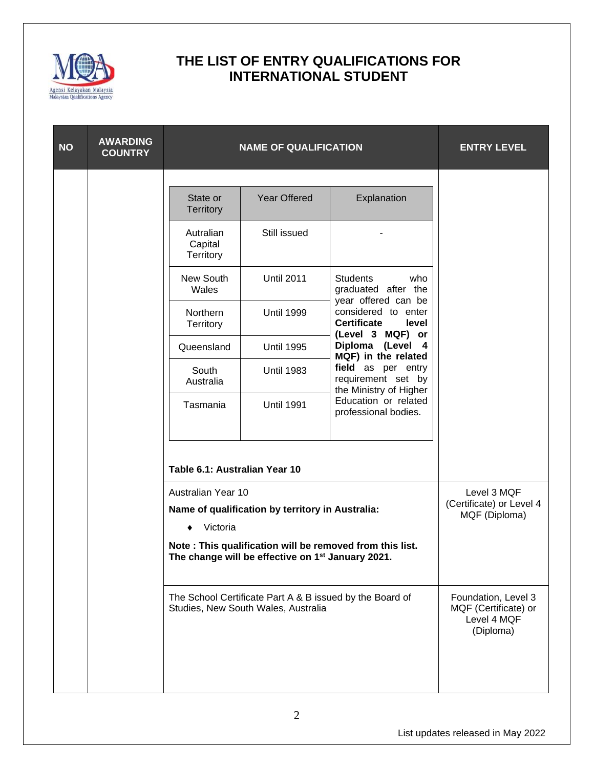

| <b>NO</b> | <b>AWARDING</b><br><b>COUNTRY</b> |                                   | <b>NAME OF QUALIFICATION</b>                                                                    |                                                                                               | <b>ENTRY LEVEL</b>                                                      |
|-----------|-----------------------------------|-----------------------------------|-------------------------------------------------------------------------------------------------|-----------------------------------------------------------------------------------------------|-------------------------------------------------------------------------|
|           |                                   |                                   |                                                                                                 |                                                                                               |                                                                         |
|           |                                   | State or<br><b>Territory</b>      | <b>Year Offered</b>                                                                             | Explanation                                                                                   |                                                                         |
|           |                                   | Autralian<br>Capital<br>Territory | Still issued                                                                                    |                                                                                               |                                                                         |
|           |                                   | New South<br>Wales                | <b>Until 2011</b>                                                                               | <b>Students</b><br>who<br>graduated after the                                                 |                                                                         |
|           |                                   | Northern<br>Territory             | <b>Until 1999</b>                                                                               | year offered can be<br>considered to enter<br><b>Certificate</b><br>level<br>(Level 3 MQF) or |                                                                         |
|           |                                   | Queensland                        | <b>Until 1995</b>                                                                               | Diploma (Level 4<br>MQF) in the related                                                       |                                                                         |
|           |                                   | South<br>Australia                | <b>Until 1983</b>                                                                               | field as per entry<br>requirement set by<br>the Ministry of Higher                            |                                                                         |
|           |                                   | Tasmania                          | <b>Until 1991</b>                                                                               | Education or related<br>professional bodies.                                                  |                                                                         |
|           |                                   | Table 6.1: Australian Year 10     |                                                                                                 |                                                                                               |                                                                         |
|           |                                   | Australian Year 10                | Name of qualification by territory in Australia:                                                |                                                                                               | Level 3 MQF<br>(Certificate) or Level 4<br>MQF (Diploma)                |
|           |                                   | Victoria                          | The change will be effective on 1 <sup>st</sup> January 2021.                                   | Note: This qualification will be removed from this list.                                      |                                                                         |
|           |                                   |                                   | The School Certificate Part A & B issued by the Board of<br>Studies, New South Wales, Australia |                                                                                               | Foundation, Level 3<br>MQF (Certificate) or<br>Level 4 MQF<br>(Diploma) |
|           |                                   |                                   |                                                                                                 |                                                                                               |                                                                         |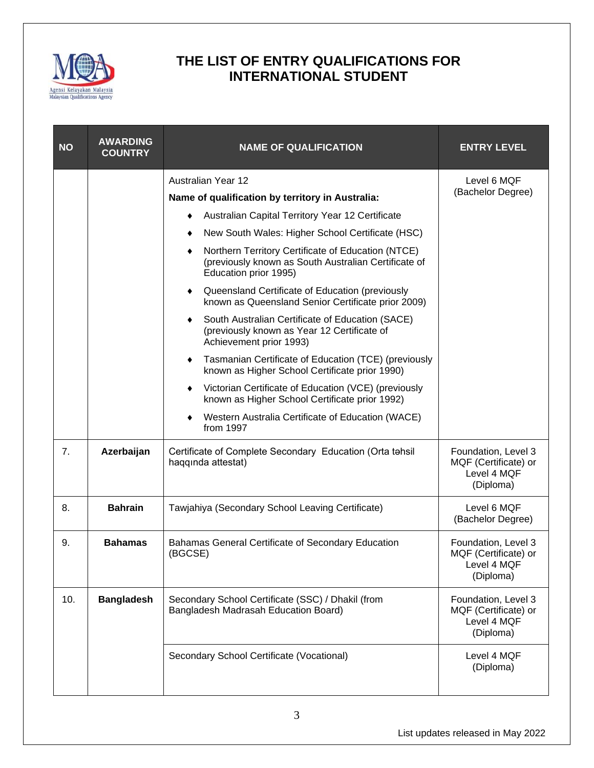

| <b>NO</b>      | <b>AWARDING</b><br><b>COUNTRY</b> | <b>NAME OF QUALIFICATION</b>                                                                                                        | <b>ENTRY LEVEL</b>                                                      |
|----------------|-----------------------------------|-------------------------------------------------------------------------------------------------------------------------------------|-------------------------------------------------------------------------|
|                |                                   | <b>Australian Year 12</b>                                                                                                           | Level 6 MQF<br>(Bachelor Degree)                                        |
|                |                                   | Name of qualification by territory in Australia:                                                                                    |                                                                         |
|                |                                   | Australian Capital Territory Year 12 Certificate                                                                                    |                                                                         |
|                |                                   | New South Wales: Higher School Certificate (HSC)                                                                                    |                                                                         |
|                |                                   | Northern Territory Certificate of Education (NTCE)<br>(previously known as South Australian Certificate of<br>Education prior 1995) |                                                                         |
|                |                                   | Queensland Certificate of Education (previously<br>٠<br>known as Queensland Senior Certificate prior 2009)                          |                                                                         |
|                |                                   | South Australian Certificate of Education (SACE)<br>٠<br>(previously known as Year 12 Certificate of<br>Achievement prior 1993)     |                                                                         |
|                |                                   | Tasmanian Certificate of Education (TCE) (previously<br>٠<br>known as Higher School Certificate prior 1990)                         |                                                                         |
|                |                                   | Victorian Certificate of Education (VCE) (previously<br>٠<br>known as Higher School Certificate prior 1992)                         |                                                                         |
|                |                                   | Western Australia Certificate of Education (WACE)<br>from 1997                                                                      |                                                                         |
| 7 <sub>1</sub> | Azerbaijan                        | Certificate of Complete Secondary Education (Orta tahsil<br>haqqında attestat)                                                      | Foundation, Level 3<br>MQF (Certificate) or<br>Level 4 MQF<br>(Diploma) |
| 8.             | <b>Bahrain</b>                    | Tawjahiya (Secondary School Leaving Certificate)                                                                                    | Level 6 MQF<br>(Bachelor Degree)                                        |
| 9.             | <b>Bahamas</b>                    | Bahamas General Certificate of Secondary Education<br>(BGCSE)                                                                       | Foundation, Level 3<br>MQF (Certificate) or<br>Level 4 MQF<br>(Diploma) |
| 10.            | <b>Bangladesh</b>                 | Secondary School Certificate (SSC) / Dhakil (from<br>Bangladesh Madrasah Education Board)                                           | Foundation, Level 3<br>MQF (Certificate) or<br>Level 4 MQF<br>(Diploma) |
|                |                                   | Secondary School Certificate (Vocational)                                                                                           | Level 4 MQF<br>(Diploma)                                                |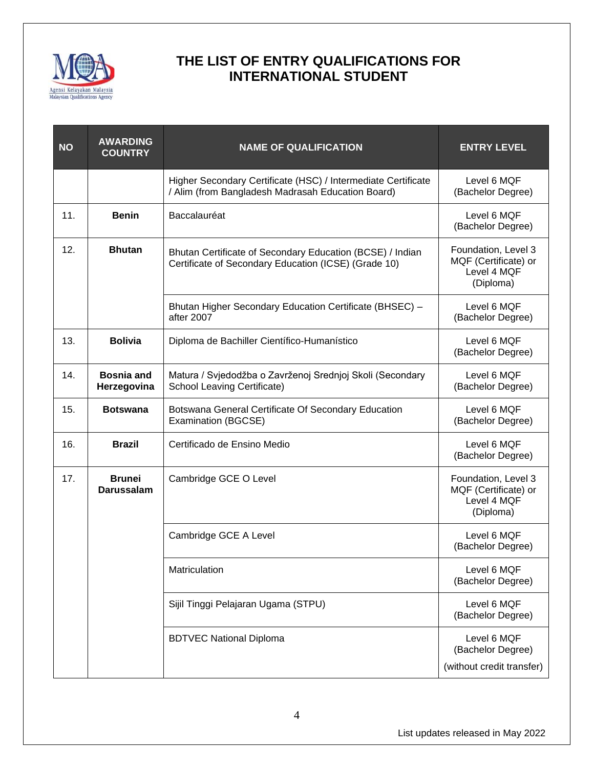

| <b>NO</b> | <b>AWARDING</b><br><b>COUNTRY</b>  | <b>NAME OF QUALIFICATION</b>                                                                                       | <b>ENTRY LEVEL</b>                                                      |
|-----------|------------------------------------|--------------------------------------------------------------------------------------------------------------------|-------------------------------------------------------------------------|
|           |                                    | Higher Secondary Certificate (HSC) / Intermediate Certificate<br>/ Alim (from Bangladesh Madrasah Education Board) | Level 6 MOF<br>(Bachelor Degree)                                        |
| 11.       | <b>Benin</b>                       | Baccalauréat                                                                                                       | Level 6 MQF<br>(Bachelor Degree)                                        |
| 12.       | <b>Bhutan</b>                      | Bhutan Certificate of Secondary Education (BCSE) / Indian<br>Certificate of Secondary Education (ICSE) (Grade 10)  | Foundation, Level 3<br>MQF (Certificate) or<br>Level 4 MQF<br>(Diploma) |
|           |                                    | Bhutan Higher Secondary Education Certificate (BHSEC) -<br>after 2007                                              | Level 6 MQF<br>(Bachelor Degree)                                        |
| 13.       | <b>Bolivia</b>                     | Diploma de Bachiller Científico-Humanístico                                                                        | Level 6 MQF<br>(Bachelor Degree)                                        |
| 14.       | <b>Bosnia and</b><br>Herzegovina   | Matura / Svjedodžba o Zavrženoj Srednjoj Skoli (Secondary<br>School Leaving Certificate)                           | Level 6 MQF<br>(Bachelor Degree)                                        |
| 15.       | <b>Botswana</b>                    | Botswana General Certificate Of Secondary Education<br>Examination (BGCSE)                                         | Level 6 MQF<br>(Bachelor Degree)                                        |
| 16.       | <b>Brazil</b>                      | Certificado de Ensino Medio                                                                                        | Level 6 MQF<br>(Bachelor Degree)                                        |
| 17.       | <b>Brunei</b><br><b>Darussalam</b> | Cambridge GCE O Level                                                                                              | Foundation, Level 3<br>MQF (Certificate) or<br>Level 4 MQF<br>(Diploma) |
|           |                                    | Cambridge GCE A Level                                                                                              | Level 6 MQF<br>(Bachelor Degree)                                        |
|           |                                    | Matriculation                                                                                                      | Level 6 MQF<br>(Bachelor Degree)                                        |
|           |                                    | Sijil Tinggi Pelajaran Ugama (STPU)                                                                                | Level 6 MQF<br>(Bachelor Degree)                                        |
|           |                                    | <b>BDTVEC National Diploma</b>                                                                                     | Level 6 MQF<br>(Bachelor Degree)<br>(without credit transfer)           |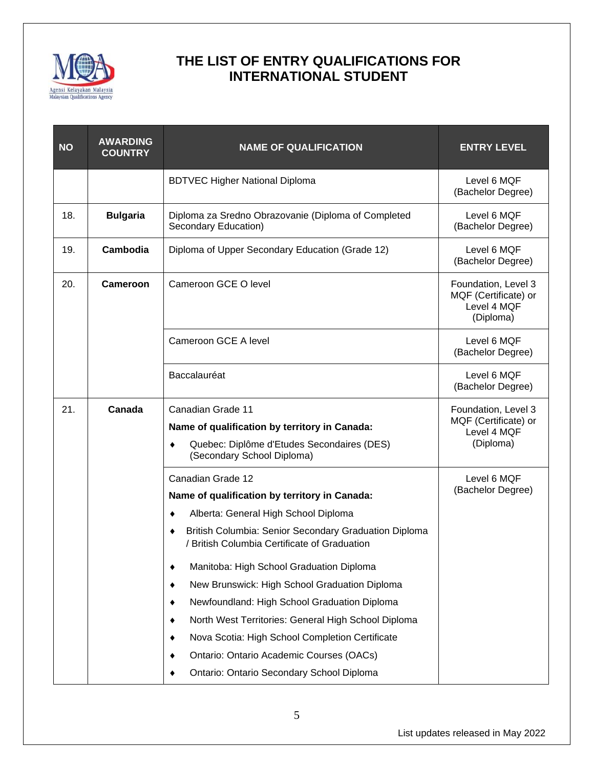

| <b>NO</b> | <b>AWARDING</b><br><b>COUNTRY</b> | <b>NAME OF QUALIFICATION</b>                                                                                                                                                                                                                                                                                                                                                                                                                                                                                                                                                  | <b>ENTRY LEVEL</b>                                                      |
|-----------|-----------------------------------|-------------------------------------------------------------------------------------------------------------------------------------------------------------------------------------------------------------------------------------------------------------------------------------------------------------------------------------------------------------------------------------------------------------------------------------------------------------------------------------------------------------------------------------------------------------------------------|-------------------------------------------------------------------------|
|           |                                   | <b>BDTVEC Higher National Diploma</b>                                                                                                                                                                                                                                                                                                                                                                                                                                                                                                                                         | Level 6 MQF<br>(Bachelor Degree)                                        |
| 18.       | <b>Bulgaria</b>                   | Diploma za Sredno Obrazovanie (Diploma of Completed<br>Secondary Education)                                                                                                                                                                                                                                                                                                                                                                                                                                                                                                   | Level 6 MQF<br>(Bachelor Degree)                                        |
| 19.       | Cambodia                          | Diploma of Upper Secondary Education (Grade 12)                                                                                                                                                                                                                                                                                                                                                                                                                                                                                                                               | Level 6 MQF<br>(Bachelor Degree)                                        |
| 20.       | Cameroon                          | Cameroon GCE O level                                                                                                                                                                                                                                                                                                                                                                                                                                                                                                                                                          | Foundation, Level 3<br>MQF (Certificate) or<br>Level 4 MQF<br>(Diploma) |
|           |                                   | Cameroon GCE A level                                                                                                                                                                                                                                                                                                                                                                                                                                                                                                                                                          | Level 6 MQF<br>(Bachelor Degree)                                        |
|           |                                   | Baccalauréat                                                                                                                                                                                                                                                                                                                                                                                                                                                                                                                                                                  | Level 6 MQF<br>(Bachelor Degree)                                        |
| 21.       | Canada                            | Canadian Grade 11<br>Name of qualification by territory in Canada:<br>Quebec: Diplôme d'Etudes Secondaires (DES)<br>(Secondary School Diploma)                                                                                                                                                                                                                                                                                                                                                                                                                                | Foundation, Level 3<br>MQF (Certificate) or<br>Level 4 MQF<br>(Diploma) |
|           |                                   | Canadian Grade 12<br>Name of qualification by territory in Canada:<br>Alberta: General High School Diploma<br>٠<br>British Columbia: Senior Secondary Graduation Diploma<br>٠<br>/ British Columbia Certificate of Graduation<br>Manitoba: High School Graduation Diploma<br>New Brunswick: High School Graduation Diploma<br>Newfoundland: High School Graduation Diploma<br>North West Territories: General High School Diploma<br>Nova Scotia: High School Completion Certificate<br>Ontario: Ontario Academic Courses (OACs)<br>Ontario: Ontario Secondary School Diploma | Level 6 MQF<br>(Bachelor Degree)                                        |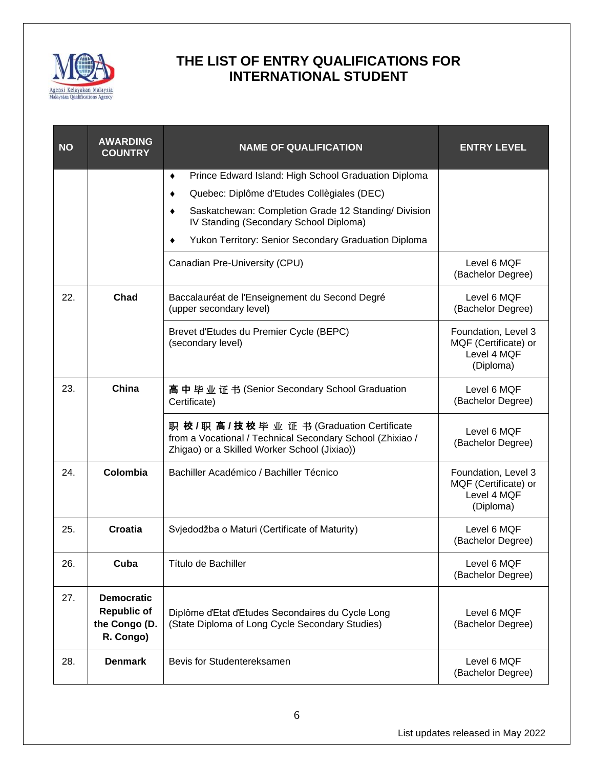

| <b>NO</b> | <b>AWARDING</b><br><b>COUNTRY</b>                                     | <b>NAME OF QUALIFICATION</b>                                                                                                                                 | <b>ENTRY LEVEL</b>                                                      |
|-----------|-----------------------------------------------------------------------|--------------------------------------------------------------------------------------------------------------------------------------------------------------|-------------------------------------------------------------------------|
|           |                                                                       | Prince Edward Island: High School Graduation Diploma<br>٠                                                                                                    |                                                                         |
|           |                                                                       | Quebec: Diplôme d'Etudes Collègiales (DEC)<br>٠                                                                                                              |                                                                         |
|           |                                                                       | Saskatchewan: Completion Grade 12 Standing/ Division<br>٠<br>IV Standing (Secondary School Diploma)                                                          |                                                                         |
|           |                                                                       | Yukon Territory: Senior Secondary Graduation Diploma<br>٠                                                                                                    |                                                                         |
|           |                                                                       | Canadian Pre-University (CPU)                                                                                                                                | Level 6 MQF<br>(Bachelor Degree)                                        |
| 22.       | Chad                                                                  | Baccalauréat de l'Enseignement du Second Degré<br>(upper secondary level)                                                                                    | Level 6 MQF<br>(Bachelor Degree)                                        |
|           |                                                                       | Brevet d'Etudes du Premier Cycle (BEPC)<br>(secondary level)                                                                                                 | Foundation, Level 3<br>MQF (Certificate) or<br>Level 4 MQF<br>(Diploma) |
| 23.       | China                                                                 | 高中毕业证书 (Senior Secondary School Graduation<br>Certificate)                                                                                                   | Level 6 MQF<br>(Bachelor Degree)                                        |
|           |                                                                       | 职 校 / 职 高 / 技 校 毕 业 证 书 (Graduation Certificate<br>from a Vocational / Technical Secondary School (Zhixiao /<br>Zhigao) or a Skilled Worker School (Jixiao)) | Level 6 MQF<br>(Bachelor Degree)                                        |
| 24.       | Colombia                                                              | Bachiller Académico / Bachiller Técnico                                                                                                                      | Foundation, Level 3<br>MQF (Certificate) or<br>Level 4 MQF<br>(Diploma) |
| 25.       | Croatia                                                               | Svjedodžba o Maturi (Certificate of Maturity)                                                                                                                | Level 6 MQF<br>(Bachelor Degree)                                        |
| 26.       | Cuba                                                                  | Título de Bachiller                                                                                                                                          | Level 6 MQF<br>(Bachelor Degree)                                        |
| 27.       | <b>Democratic</b><br><b>Republic of</b><br>the Congo (D.<br>R. Congo) | Diplôme d'Etat d'Etudes Secondaires du Cycle Long<br>(State Diploma of Long Cycle Secondary Studies)                                                         | Level 6 MQF<br>(Bachelor Degree)                                        |
| 28.       | <b>Denmark</b>                                                        | Bevis for Studentereksamen                                                                                                                                   | Level 6 MQF<br>(Bachelor Degree)                                        |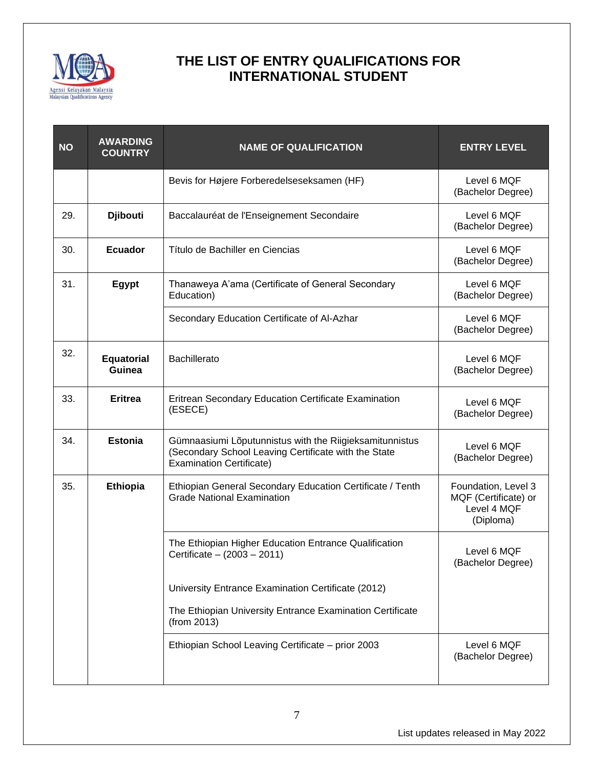

| <b>NO</b> | <b>AWARDING</b><br><b>COUNTRY</b> | <b>NAME OF QUALIFICATION</b>                                                                                                                       | <b>ENTRY LEVEL</b>                                                      |
|-----------|-----------------------------------|----------------------------------------------------------------------------------------------------------------------------------------------------|-------------------------------------------------------------------------|
|           |                                   | Bevis for Højere Forberedelseseksamen (HF)                                                                                                         | Level 6 MQF<br>(Bachelor Degree)                                        |
| 29.       | <b>Djibouti</b>                   | Baccalauréat de l'Enseignement Secondaire                                                                                                          | Level 6 MQF<br>(Bachelor Degree)                                        |
| 30.       | <b>Ecuador</b>                    | Título de Bachiller en Ciencias                                                                                                                    | Level 6 MQF<br>(Bachelor Degree)                                        |
| 31.       | <b>Egypt</b>                      | Thanaweya A'ama (Certificate of General Secondary<br>Education)                                                                                    | Level 6 MQF<br>(Bachelor Degree)                                        |
|           |                                   | Secondary Education Certificate of Al-Azhar                                                                                                        | Level 6 MQF<br>(Bachelor Degree)                                        |
| 32.       | <b>Equatorial</b><br>Guinea       | <b>Bachillerato</b>                                                                                                                                | Level 6 MQF<br>(Bachelor Degree)                                        |
| 33.       | <b>Eritrea</b>                    | Eritrean Secondary Education Certificate Examination<br>(ESECE)                                                                                    | Level 6 MQF<br>(Bachelor Degree)                                        |
| 34.       | <b>Estonia</b>                    | Gümnaasiumi Lõputunnistus with the Riigieksamitunnistus<br>(Secondary School Leaving Certificate with the State<br><b>Examination Certificate)</b> | Level 6 MQF<br>(Bachelor Degree)                                        |
| 35.       | <b>Ethiopia</b>                   | Ethiopian General Secondary Education Certificate / Tenth<br><b>Grade National Examination</b>                                                     | Foundation, Level 3<br>MQF (Certificate) or<br>Level 4 MQF<br>(Diploma) |
|           |                                   | The Ethiopian Higher Education Entrance Qualification<br>Certificate - (2003 - 2011)                                                               | Level 6 MQF<br>(Bachelor Degree)                                        |
|           |                                   | University Entrance Examination Certificate (2012)                                                                                                 |                                                                         |
|           |                                   | The Ethiopian University Entrance Examination Certificate<br>(from 2013)                                                                           |                                                                         |
|           |                                   | Ethiopian School Leaving Certificate - prior 2003                                                                                                  | Level 6 MQF<br>(Bachelor Degree)                                        |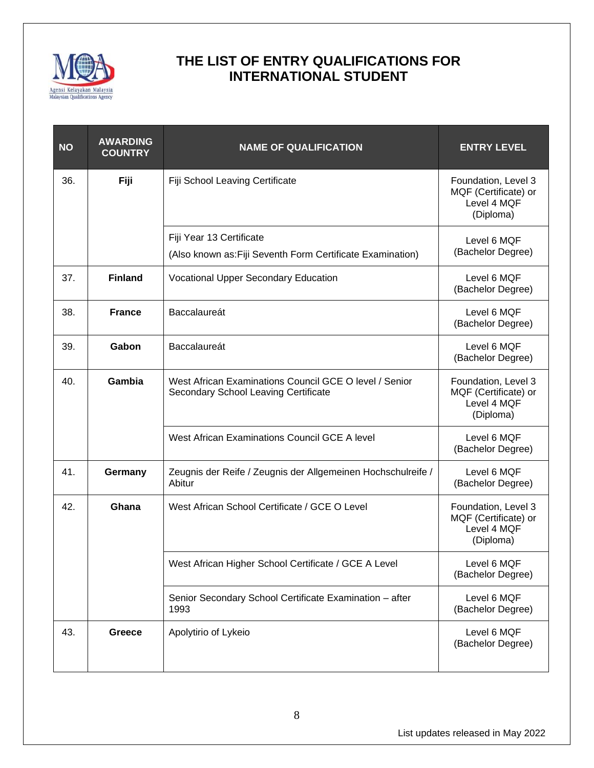

| <b>NO</b> | <b>AWARDING</b><br><b>COUNTRY</b> | <b>NAME OF QUALIFICATION</b>                                                                   | <b>ENTRY LEVEL</b>                                                      |
|-----------|-----------------------------------|------------------------------------------------------------------------------------------------|-------------------------------------------------------------------------|
| 36.       | Fiji                              | Fiji School Leaving Certificate                                                                | Foundation, Level 3<br>MQF (Certificate) or<br>Level 4 MQF<br>(Diploma) |
|           |                                   | Fiji Year 13 Certificate                                                                       | Level 6 MQF                                                             |
|           |                                   | (Also known as: Fiji Seventh Form Certificate Examination)                                     | (Bachelor Degree)                                                       |
| 37.       | <b>Finland</b>                    | Vocational Upper Secondary Education                                                           | Level 6 MQF<br>(Bachelor Degree)                                        |
| 38.       | <b>France</b>                     | Baccalaureát                                                                                   | Level 6 MQF<br>(Bachelor Degree)                                        |
| 39.       | Gabon                             | Baccalaureát                                                                                   | Level 6 MQF<br>(Bachelor Degree)                                        |
| 40.       | Gambia                            | West African Examinations Council GCE O level / Senior<br>Secondary School Leaving Certificate | Foundation, Level 3<br>MQF (Certificate) or<br>Level 4 MQF<br>(Diploma) |
|           |                                   | West African Examinations Council GCE A level                                                  | Level 6 MQF<br>(Bachelor Degree)                                        |
| 41.       | Germany                           | Zeugnis der Reife / Zeugnis der Allgemeinen Hochschulreife /<br>Abitur                         | Level 6 MQF<br>(Bachelor Degree)                                        |
| 42.       | Ghana                             | West African School Certificate / GCE O Level                                                  | Foundation, Level 3<br>MQF (Certificate) or<br>Level 4 MQF<br>(Diploma) |
|           |                                   | West African Higher School Certificate / GCE A Level                                           | Level 6 MQF<br>(Bachelor Degree)                                        |
|           |                                   | Senior Secondary School Certificate Examination - after<br>1993                                | Level 6 MQF<br>(Bachelor Degree)                                        |
| 43.       | <b>Greece</b>                     | Apolytirio of Lykeio                                                                           | Level 6 MQF<br>(Bachelor Degree)                                        |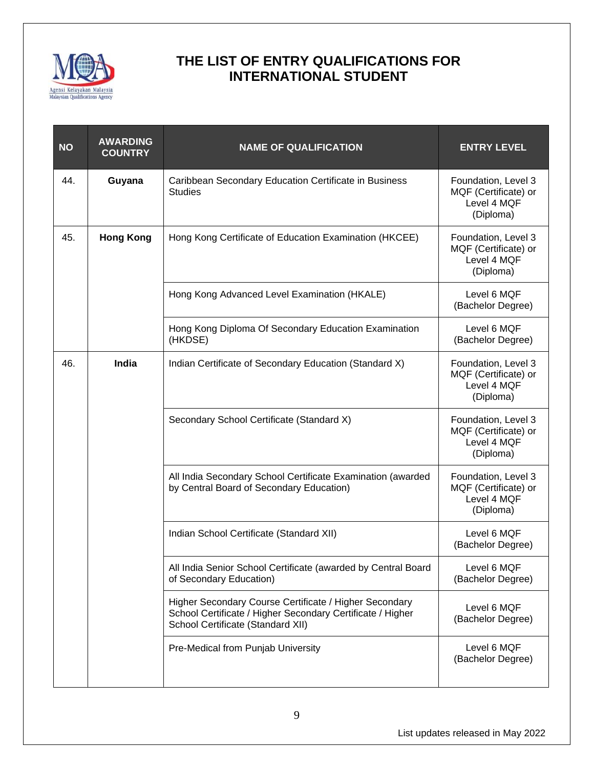

| <b>NO</b> | <b>AWARDING</b><br><b>COUNTRY</b> | <b>NAME OF QUALIFICATION</b>                                                                                                                              | <b>ENTRY LEVEL</b>                                                      |
|-----------|-----------------------------------|-----------------------------------------------------------------------------------------------------------------------------------------------------------|-------------------------------------------------------------------------|
| 44.       | Guyana                            | Caribbean Secondary Education Certificate in Business<br><b>Studies</b>                                                                                   | Foundation, Level 3<br>MQF (Certificate) or<br>Level 4 MQF<br>(Diploma) |
| 45.       | <b>Hong Kong</b>                  | Hong Kong Certificate of Education Examination (HKCEE)                                                                                                    | Foundation, Level 3<br>MQF (Certificate) or<br>Level 4 MQF<br>(Diploma) |
|           |                                   | Hong Kong Advanced Level Examination (HKALE)                                                                                                              | Level 6 MQF<br>(Bachelor Degree)                                        |
|           |                                   | Hong Kong Diploma Of Secondary Education Examination<br>(HKDSE)                                                                                           | Level 6 MQF<br>(Bachelor Degree)                                        |
| 46.       | <b>India</b>                      | Indian Certificate of Secondary Education (Standard X)                                                                                                    | Foundation, Level 3<br>MQF (Certificate) or<br>Level 4 MQF<br>(Diploma) |
|           |                                   | Secondary School Certificate (Standard X)                                                                                                                 | Foundation, Level 3<br>MQF (Certificate) or<br>Level 4 MQF<br>(Diploma) |
|           |                                   | All India Secondary School Certificate Examination (awarded<br>by Central Board of Secondary Education)                                                   | Foundation, Level 3<br>MQF (Certificate) or<br>Level 4 MQF<br>(Diploma) |
|           |                                   | Indian School Certificate (Standard XII)                                                                                                                  | Level 6 MQF<br>(Bachelor Degree)                                        |
|           |                                   | All India Senior School Certificate (awarded by Central Board<br>of Secondary Education)                                                                  | Level 6 MQF<br>(Bachelor Degree)                                        |
|           |                                   | Higher Secondary Course Certificate / Higher Secondary<br>School Certificate / Higher Secondary Certificate / Higher<br>School Certificate (Standard XII) | Level 6 MQF<br>(Bachelor Degree)                                        |
|           |                                   | Pre-Medical from Punjab University                                                                                                                        | Level 6 MQF<br>(Bachelor Degree)                                        |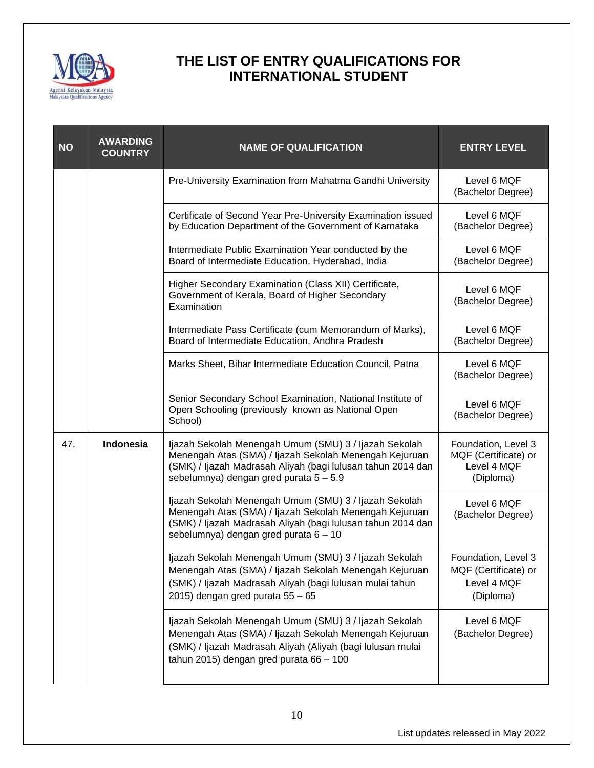

| <b>NO</b> | <b>AWARDING</b><br><b>COUNTRY</b> | <b>NAME OF QUALIFICATION</b>                                                                                                                                                                                             | <b>ENTRY LEVEL</b>                                                      |
|-----------|-----------------------------------|--------------------------------------------------------------------------------------------------------------------------------------------------------------------------------------------------------------------------|-------------------------------------------------------------------------|
|           |                                   | Pre-University Examination from Mahatma Gandhi University                                                                                                                                                                | Level 6 MQF<br>(Bachelor Degree)                                        |
|           |                                   | Certificate of Second Year Pre-University Examination issued<br>by Education Department of the Government of Karnataka                                                                                                   | Level 6 MQF<br>(Bachelor Degree)                                        |
|           |                                   | Intermediate Public Examination Year conducted by the<br>Board of Intermediate Education, Hyderabad, India                                                                                                               | Level 6 MQF<br>(Bachelor Degree)                                        |
|           |                                   | Higher Secondary Examination (Class XII) Certificate,<br>Government of Kerala, Board of Higher Secondary<br>Examination                                                                                                  | Level 6 MQF<br>(Bachelor Degree)                                        |
|           |                                   | Intermediate Pass Certificate (cum Memorandum of Marks),<br>Board of Intermediate Education, Andhra Pradesh                                                                                                              | Level 6 MQF<br>(Bachelor Degree)                                        |
|           |                                   | Marks Sheet, Bihar Intermediate Education Council, Patna                                                                                                                                                                 | Level 6 MQF<br>(Bachelor Degree)                                        |
|           |                                   | Senior Secondary School Examination, National Institute of<br>Open Schooling (previously known as National Open<br>School)                                                                                               | Level 6 MQF<br>(Bachelor Degree)                                        |
| 47.       | Indonesia                         | Ijazah Sekolah Menengah Umum (SMU) 3 / Ijazah Sekolah<br>Menengah Atas (SMA) / Ijazah Sekolah Menengah Kejuruan<br>(SMK) / Ijazah Madrasah Aliyah (bagi lulusan tahun 2014 dan<br>sebelumnya) dengan gred purata 5 - 5.9 | Foundation, Level 3<br>MQF (Certificate) or<br>Level 4 MQF<br>(Diploma) |
|           |                                   | Ijazah Sekolah Menengah Umum (SMU) 3 / Ijazah Sekolah<br>Menengah Atas (SMA) / Ijazah Sekolah Menengah Kejuruan<br>(SMK) / Ijazah Madrasah Aliyah (bagi lulusan tahun 2014 dan<br>sebelumnya) dengan gred purata 6 - 10  | Level 6 MQF<br>(Bachelor Degree)                                        |
|           |                                   | Ijazah Sekolah Menengah Umum (SMU) 3 / Ijazah Sekolah<br>Menengah Atas (SMA) / Ijazah Sekolah Menengah Kejuruan<br>(SMK) / Ijazah Madrasah Aliyah (bagi lulusan mulai tahun<br>2015) dengan gred purata $55 - 65$        | Foundation, Level 3<br>MQF (Certificate) or<br>Level 4 MQF<br>(Diploma) |
|           |                                   | Ijazah Sekolah Menengah Umum (SMU) 3 / Ijazah Sekolah<br>Menengah Atas (SMA) / Ijazah Sekolah Menengah Kejuruan<br>(SMK) / Ijazah Madrasah Aliyah (Aliyah (bagi lulusan mulai<br>tahun 2015) dengan gred purata 66 - 100 | Level 6 MQF<br>(Bachelor Degree)                                        |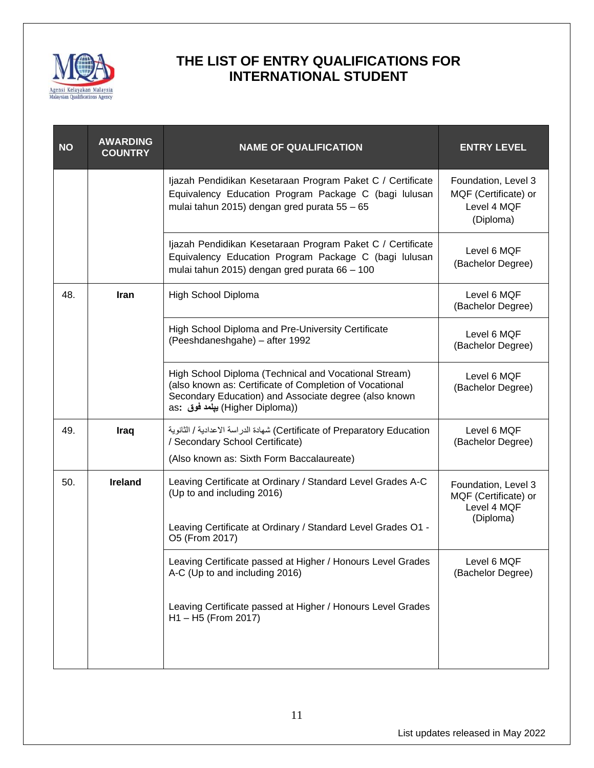

| <b>NO</b> | <b>AWARDING</b><br><b>COUNTRY</b> | <b>NAME OF QUALIFICATION</b>                                                                                                                                                                                  | <b>ENTRY LEVEL</b>                                                      |
|-----------|-----------------------------------|---------------------------------------------------------------------------------------------------------------------------------------------------------------------------------------------------------------|-------------------------------------------------------------------------|
|           |                                   | Ijazah Pendidikan Kesetaraan Program Paket C / Certificate<br>Equivalency Education Program Package C (bagi lulusan<br>mulai tahun 2015) dengan gred purata 55 - 65                                           | Foundation, Level 3<br>MQF (Certificate) or<br>Level 4 MQF<br>(Diploma) |
|           |                                   | Ijazah Pendidikan Kesetaraan Program Paket C / Certificate<br>Equivalency Education Program Package C (bagi lulusan<br>mulai tahun 2015) dengan gred purata 66 - 100                                          | Level 6 MQF<br>(Bachelor Degree)                                        |
| 48.       | Iran                              | High School Diploma                                                                                                                                                                                           | Level 6 MQF<br>(Bachelor Degree)                                        |
|           |                                   | High School Diploma and Pre-University Certificate<br>(Peeshdaneshgahe) - after 1992                                                                                                                          | Level 6 MQF<br>(Bachelor Degree)                                        |
|           |                                   | High School Diploma (Technical and Vocational Stream)<br>(also known as: Certificate of Completion of Vocational<br>Secondary Education) and Associate degree (also known<br>as: بيلمد فوق; (Higher Diploma)) | Level 6 MQF<br>(Bachelor Degree)                                        |
| 49.       | Iraq                              | Certificate of Preparatory Education) شهادة الدراسة الاعدادية / الثانوية<br>/ Secondary School Certificate)<br>(Also known as: Sixth Form Baccalaureate)                                                      | Level 6 MQF<br>(Bachelor Degree)                                        |
| 50.       | <b>Ireland</b>                    | Leaving Certificate at Ordinary / Standard Level Grades A-C<br>(Up to and including 2016)<br>Leaving Certificate at Ordinary / Standard Level Grades O1 -<br>O5 (From 2017)                                   | Foundation, Level 3<br>MQF (Certificate) or<br>Level 4 MQF<br>(Diploma) |
|           |                                   | Leaving Certificate passed at Higher / Honours Level Grades<br>A-C (Up to and including 2016)                                                                                                                 | Level 6 MQF<br>(Bachelor Degree)                                        |
|           |                                   | Leaving Certificate passed at Higher / Honours Level Grades<br>H1-H5 (From 2017)                                                                                                                              |                                                                         |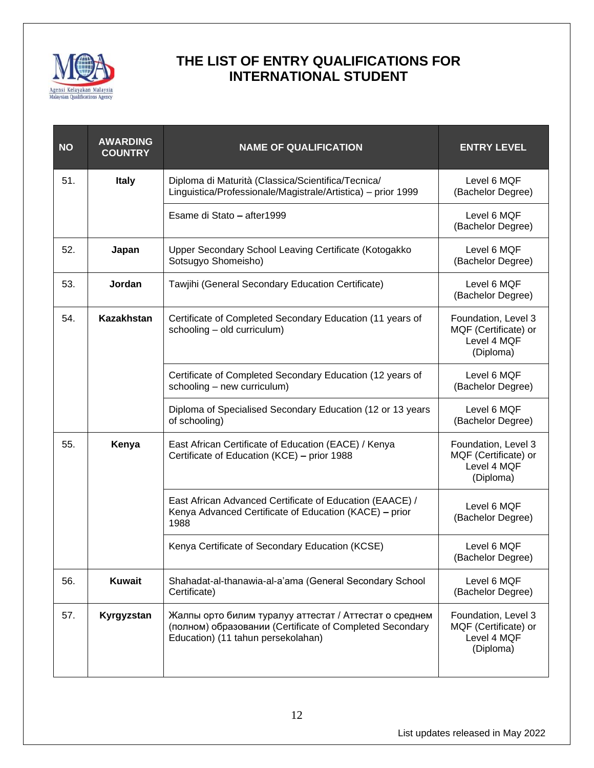

| <b>NO</b> | <b>AWARDING</b><br><b>COUNTRY</b> | <b>NAME OF QUALIFICATION</b>                                                                                                                             | <b>ENTRY LEVEL</b>                                                      |
|-----------|-----------------------------------|----------------------------------------------------------------------------------------------------------------------------------------------------------|-------------------------------------------------------------------------|
| 51.       | <b>Italy</b>                      | Diploma di Maturità (Classica/Scientifica/Tecnica/<br>Linguistica/Professionale/Magistrale/Artistica) - prior 1999                                       | Level 6 MQF<br>(Bachelor Degree)                                        |
|           |                                   | Esame di Stato - after1999                                                                                                                               | Level 6 MQF<br>(Bachelor Degree)                                        |
| 52.       | Japan                             | Upper Secondary School Leaving Certificate (Kotogakko<br>Sotsugyo Shomeisho)                                                                             | Level 6 MQF<br>(Bachelor Degree)                                        |
| 53.       | Jordan                            | Tawjihi (General Secondary Education Certificate)                                                                                                        | Level 6 MQF<br>(Bachelor Degree)                                        |
| 54.       | <b>Kazakhstan</b>                 | Certificate of Completed Secondary Education (11 years of<br>schooling - old curriculum)                                                                 | Foundation, Level 3<br>MQF (Certificate) or<br>Level 4 MQF<br>(Diploma) |
|           |                                   | Certificate of Completed Secondary Education (12 years of<br>schooling - new curriculum)                                                                 | Level 6 MQF<br>(Bachelor Degree)                                        |
|           |                                   | Diploma of Specialised Secondary Education (12 or 13 years<br>of schooling)                                                                              | Level 6 MQF<br>(Bachelor Degree)                                        |
| 55.       | Kenya                             | East African Certificate of Education (EACE) / Kenya<br>Certificate of Education (KCE) - prior 1988                                                      | Foundation, Level 3<br>MQF (Certificate) or<br>Level 4 MQF<br>(Diploma) |
|           |                                   | East African Advanced Certificate of Education (EAACE) /<br>Kenya Advanced Certificate of Education (KACE) - prior<br>1988                               | Level 6 MQF<br>(Bachelor Degree)                                        |
|           |                                   | Kenya Certificate of Secondary Education (KCSE)                                                                                                          | Level 6 MQF<br>(Bachelor Degree)                                        |
| 56.       | <b>Kuwait</b>                     | Shahadat-al-thanawia-al-a'ama (General Secondary School<br>Certificate)                                                                                  | Level 6 MQF<br>(Bachelor Degree)                                        |
| 57.       | Kyrgyzstan                        | Жалпы орто билим туралуу аттестат / Аттестат о среднем<br>(полном) образовании (Certificate of Completed Secondary<br>Education) (11 tahun persekolahan) | Foundation, Level 3<br>MQF (Certificate) or<br>Level 4 MQF<br>(Diploma) |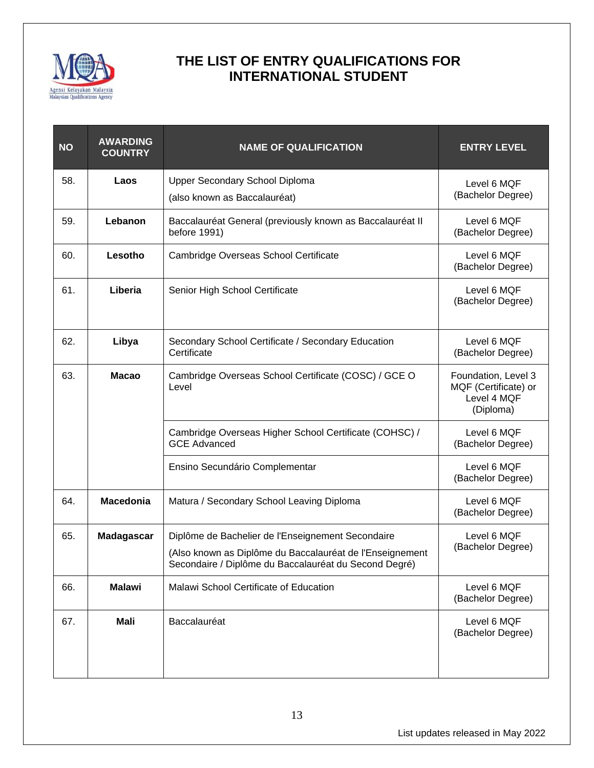

| <b>NO</b> | <b>AWARDING</b><br><b>COUNTRY</b> | <b>NAME OF QUALIFICATION</b>                                                                                      | <b>ENTRY LEVEL</b>                                                      |
|-----------|-----------------------------------|-------------------------------------------------------------------------------------------------------------------|-------------------------------------------------------------------------|
| 58.       | Laos                              | Upper Secondary School Diploma                                                                                    | Level 6 MQF                                                             |
|           |                                   | (also known as Baccalauréat)                                                                                      | (Bachelor Degree)                                                       |
| 59.       | Lebanon                           | Baccalauréat General (previously known as Baccalauréat II<br>before 1991)                                         | Level 6 MQF<br>(Bachelor Degree)                                        |
| 60.       | Lesotho                           | Cambridge Overseas School Certificate                                                                             | Level 6 MQF<br>(Bachelor Degree)                                        |
| 61.       | Liberia                           | Senior High School Certificate                                                                                    | Level 6 MQF<br>(Bachelor Degree)                                        |
| 62.       | Libya                             | Secondary School Certificate / Secondary Education<br>Certificate                                                 | Level 6 MQF<br>(Bachelor Degree)                                        |
| 63.       | <b>Macao</b>                      | Cambridge Overseas School Certificate (COSC) / GCE O<br>Level                                                     | Foundation, Level 3<br>MQF (Certificate) or<br>Level 4 MQF<br>(Diploma) |
|           |                                   | Cambridge Overseas Higher School Certificate (COHSC) /<br><b>GCE Advanced</b>                                     | Level 6 MQF<br>(Bachelor Degree)                                        |
|           |                                   | Ensino Secundário Complementar                                                                                    | Level 6 MQF<br>(Bachelor Degree)                                        |
| 64.       | <b>Macedonia</b>                  | Matura / Secondary School Leaving Diploma                                                                         | Level 6 MQF<br>(Bachelor Degree)                                        |
| 65.       | Madagascar                        | Diplôme de Bachelier de l'Enseignement Secondaire                                                                 | Level 6 MQF                                                             |
|           |                                   | (Also known as Diplôme du Baccalauréat de l'Enseignement<br>Secondaire / Diplôme du Baccalauréat du Second Degré) | (Bachelor Degree)                                                       |
| 66.       | <b>Malawi</b>                     | Malawi School Certificate of Education                                                                            | Level 6 MQF<br>(Bachelor Degree)                                        |
| 67.       | <b>Mali</b>                       | Baccalauréat                                                                                                      | Level 6 MQF<br>(Bachelor Degree)                                        |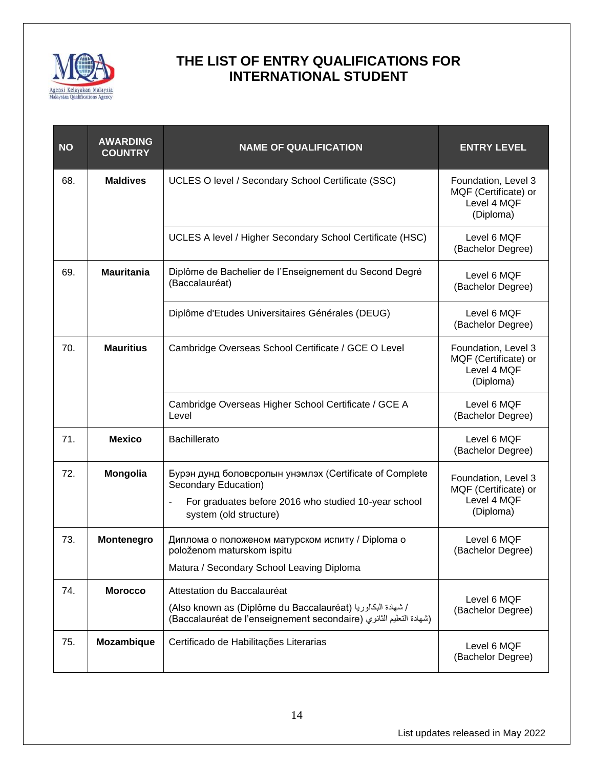

| <b>NO</b> | <b>AWARDING</b><br><b>COUNTRY</b> | <b>NAME OF QUALIFICATION</b>                                                                                                                                                        | <b>ENTRY LEVEL</b>                                                      |
|-----------|-----------------------------------|-------------------------------------------------------------------------------------------------------------------------------------------------------------------------------------|-------------------------------------------------------------------------|
| 68.       | <b>Maldives</b>                   | UCLES O level / Secondary School Certificate (SSC)                                                                                                                                  | Foundation, Level 3<br>MQF (Certificate) or<br>Level 4 MQF<br>(Diploma) |
|           |                                   | UCLES A level / Higher Secondary School Certificate (HSC)                                                                                                                           | Level 6 MQF<br>(Bachelor Degree)                                        |
| 69.       | <b>Mauritania</b>                 | Diplôme de Bachelier de l'Enseignement du Second Degré<br>(Baccalauréat)                                                                                                            | Level 6 MQF<br>(Bachelor Degree)                                        |
|           |                                   | Diplôme d'Etudes Universitaires Générales (DEUG)                                                                                                                                    | Level 6 MQF<br>(Bachelor Degree)                                        |
| 70.       | <b>Mauritius</b>                  | Cambridge Overseas School Certificate / GCE O Level                                                                                                                                 | Foundation, Level 3<br>MQF (Certificate) or<br>Level 4 MQF<br>(Diploma) |
|           |                                   | Cambridge Overseas Higher School Certificate / GCE A<br>Level                                                                                                                       | Level 6 MQF<br>(Bachelor Degree)                                        |
| 71.       | <b>Mexico</b>                     | <b>Bachillerato</b>                                                                                                                                                                 | Level 6 MQF<br>(Bachelor Degree)                                        |
| 72.       | <b>Mongolia</b>                   | Бурэн дунд боловсролын унэмлэх (Certificate of Complete<br>Secondary Education)<br>For graduates before 2016 who studied 10-year school<br>$\blacksquare$<br>system (old structure) | Foundation, Level 3<br>MQF (Certificate) or<br>Level 4 MQF<br>(Diploma) |
| 73.       | Montenegro                        | Диплома о положеном матурском испиту / Diploma о<br>položenom maturskom ispitu<br>Matura / Secondary School Leaving Diploma                                                         | Level 6 MQF<br>(Bachelor Degree)                                        |
|           |                                   |                                                                                                                                                                                     |                                                                         |
| 74.       | <b>Morocco</b>                    | Attestation du Baccalauréat<br>/ شهادة البكالوريا (Also known as (Diplôme du Baccalauréat)<br>(شهادة التعليم الثانوي (Baccalauréat de l'enseignement secondaire)                    | Level 6 MQF<br>(Bachelor Degree)                                        |
| 75.       | Mozambique                        | Certificado de Habilitações Literarias                                                                                                                                              | Level 6 MQF<br>(Bachelor Degree)                                        |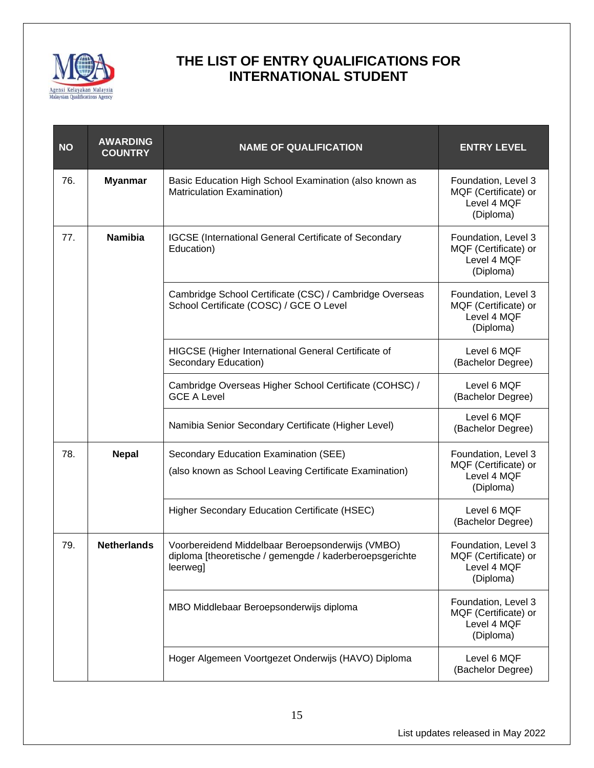

| <b>NO</b> | <b>AWARDING</b><br><b>COUNTRY</b> | <b>NAME OF QUALIFICATION</b>                                                                                            | <b>ENTRY LEVEL</b>                                                      |
|-----------|-----------------------------------|-------------------------------------------------------------------------------------------------------------------------|-------------------------------------------------------------------------|
| 76.       | <b>Myanmar</b>                    | Basic Education High School Examination (also known as<br>Matriculation Examination)                                    | Foundation, Level 3<br>MQF (Certificate) or<br>Level 4 MQF<br>(Diploma) |
| 77.       | <b>Namibia</b>                    | <b>IGCSE</b> (International General Certificate of Secondary<br>Education)                                              | Foundation, Level 3<br>MQF (Certificate) or<br>Level 4 MQF<br>(Diploma) |
|           |                                   | Cambridge School Certificate (CSC) / Cambridge Overseas<br>School Certificate (COSC) / GCE O Level                      | Foundation, Level 3<br>MQF (Certificate) or<br>Level 4 MQF<br>(Diploma) |
|           |                                   | HIGCSE (Higher International General Certificate of<br>Secondary Education)                                             | Level 6 MQF<br>(Bachelor Degree)                                        |
|           |                                   | Cambridge Overseas Higher School Certificate (COHSC) /<br><b>GCE A Level</b>                                            | Level 6 MQF<br>(Bachelor Degree)                                        |
|           |                                   | Namibia Senior Secondary Certificate (Higher Level)                                                                     | Level 6 MQF<br>(Bachelor Degree)                                        |
| 78.       | <b>Nepal</b>                      | Secondary Education Examination (SEE)<br>(also known as School Leaving Certificate Examination)                         | Foundation, Level 3<br>MQF (Certificate) or<br>Level 4 MQF<br>(Diploma) |
|           |                                   | <b>Higher Secondary Education Certificate (HSEC)</b>                                                                    | Level 6 MQF<br>(Bachelor Degree)                                        |
| 79.       | <b>Netherlands</b>                | Voorbereidend Middelbaar Beroepsonderwijs (VMBO)<br>diploma [theoretische / gemengde / kaderberoepsgerichte<br>leerweg] | Foundation, Level 3<br>MQF (Certificate) or<br>Level 4 MQF<br>(Diploma) |
|           |                                   | MBO Middlebaar Beroepsonderwijs diploma                                                                                 | Foundation, Level 3<br>MQF (Certificate) or<br>Level 4 MQF<br>(Diploma) |
|           |                                   | Hoger Algemeen Voortgezet Onderwijs (HAVO) Diploma                                                                      | Level 6 MQF<br>(Bachelor Degree)                                        |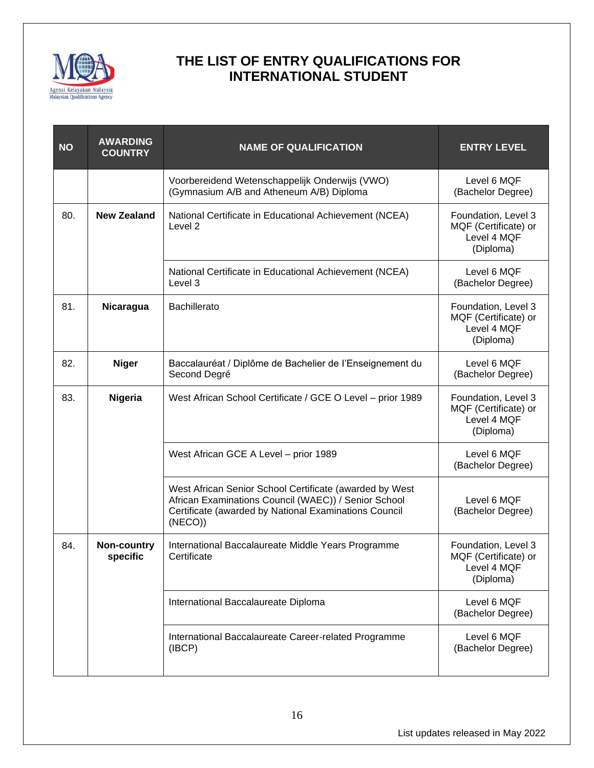

| <b>NO</b> | <b>AWARDING</b><br><b>COUNTRY</b> | <b>NAME OF QUALIFICATION</b>                                                                                                                                                       | <b>ENTRY LEVEL</b>                                                      |
|-----------|-----------------------------------|------------------------------------------------------------------------------------------------------------------------------------------------------------------------------------|-------------------------------------------------------------------------|
|           |                                   | Voorbereidend Wetenschappelijk Onderwijs (VWO)<br>(Gymnasium A/B and Atheneum A/B) Diploma                                                                                         | Level 6 MQF<br>(Bachelor Degree)                                        |
| 80.       | <b>New Zealand</b>                | National Certificate in Educational Achievement (NCEA)<br>Level <sub>2</sub>                                                                                                       | Foundation, Level 3<br>MQF (Certificate) or<br>Level 4 MQF<br>(Diploma) |
|           |                                   | National Certificate in Educational Achievement (NCEA)<br>Level 3                                                                                                                  | Level 6 MQF<br>(Bachelor Degree)                                        |
| 81.       | Nicaragua                         | <b>Bachillerato</b>                                                                                                                                                                | Foundation, Level 3<br>MQF (Certificate) or<br>Level 4 MQF<br>(Diploma) |
| 82.       | <b>Niger</b>                      | Baccalauréat / Diplôme de Bachelier de l'Enseignement du<br>Second Degré                                                                                                           | Level 6 MQF<br>(Bachelor Degree)                                        |
| 83.       | Nigeria                           | West African School Certificate / GCE O Level - prior 1989                                                                                                                         | Foundation, Level 3<br>MQF (Certificate) or<br>Level 4 MQF<br>(Diploma) |
|           |                                   | West African GCE A Level - prior 1989                                                                                                                                              | Level 6 MQF<br>(Bachelor Degree)                                        |
|           |                                   | West African Senior School Certificate (awarded by West<br>African Examinations Council (WAEC)) / Senior School<br>Certificate (awarded by National Examinations Council<br>(NECO) | Level 6 MQF<br>(Bachelor Degree)                                        |
| 84.       | Non-country<br>specific           | International Baccalaureate Middle Years Programme<br>Certificate                                                                                                                  | Foundation, Level 3<br>MQF (Certificate) or<br>Level 4 MQF<br>(Diploma) |
|           |                                   | International Baccalaureate Diploma                                                                                                                                                | Level 6 MQF<br>(Bachelor Degree)                                        |
|           |                                   | International Baccalaureate Career-related Programme<br>(IBCP)                                                                                                                     | Level 6 MQF<br>(Bachelor Degree)                                        |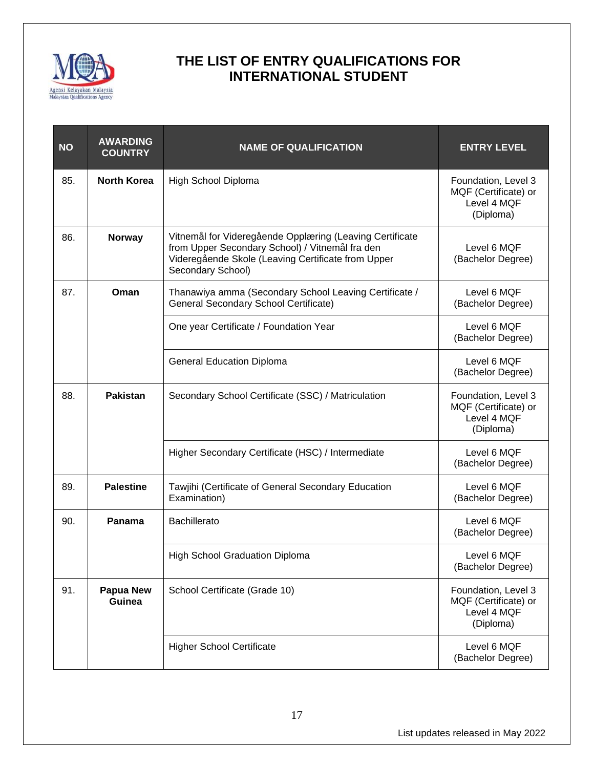

| <b>NO</b> | <b>AWARDING</b><br><b>COUNTRY</b> | <b>NAME OF QUALIFICATION</b>                                                                                                                                                           | <b>ENTRY LEVEL</b>                                                      |
|-----------|-----------------------------------|----------------------------------------------------------------------------------------------------------------------------------------------------------------------------------------|-------------------------------------------------------------------------|
| 85.       | <b>North Korea</b>                | High School Diploma                                                                                                                                                                    | Foundation, Level 3<br>MQF (Certificate) or<br>Level 4 MQF<br>(Diploma) |
| 86.       | <b>Norway</b>                     | Vitnemål for Videregående Opplæring (Leaving Certificate<br>from Upper Secondary School) / Vitnemål fra den<br>Videregående Skole (Leaving Certificate from Upper<br>Secondary School) | Level 6 MQF<br>(Bachelor Degree)                                        |
| 87.       | Oman                              | Thanawiya amma (Secondary School Leaving Certificate /<br>General Secondary School Certificate)                                                                                        | Level 6 MQF<br>(Bachelor Degree)                                        |
|           |                                   | One year Certificate / Foundation Year                                                                                                                                                 | Level 6 MQF<br>(Bachelor Degree)                                        |
|           |                                   | <b>General Education Diploma</b>                                                                                                                                                       | Level 6 MQF<br>(Bachelor Degree)                                        |
| 88.       | <b>Pakistan</b>                   | Secondary School Certificate (SSC) / Matriculation                                                                                                                                     | Foundation, Level 3<br>MQF (Certificate) or<br>Level 4 MQF<br>(Diploma) |
|           |                                   | Higher Secondary Certificate (HSC) / Intermediate                                                                                                                                      | Level 6 MQF<br>(Bachelor Degree)                                        |
| 89.       | <b>Palestine</b>                  | Tawjihi (Certificate of General Secondary Education<br>Examination)                                                                                                                    | Level 6 MQF<br>(Bachelor Degree)                                        |
| 90.       | Panama                            | <b>Bachillerato</b>                                                                                                                                                                    | Level 6 MQF<br>(Bachelor Degree)                                        |
|           |                                   | <b>High School Graduation Diploma</b>                                                                                                                                                  | Level 6 MQF<br>(Bachelor Degree)                                        |
| 91.       | <b>Papua New</b><br>Guinea        | School Certificate (Grade 10)                                                                                                                                                          | Foundation, Level 3<br>MQF (Certificate) or<br>Level 4 MQF<br>(Diploma) |
|           |                                   | <b>Higher School Certificate</b>                                                                                                                                                       | Level 6 MQF<br>(Bachelor Degree)                                        |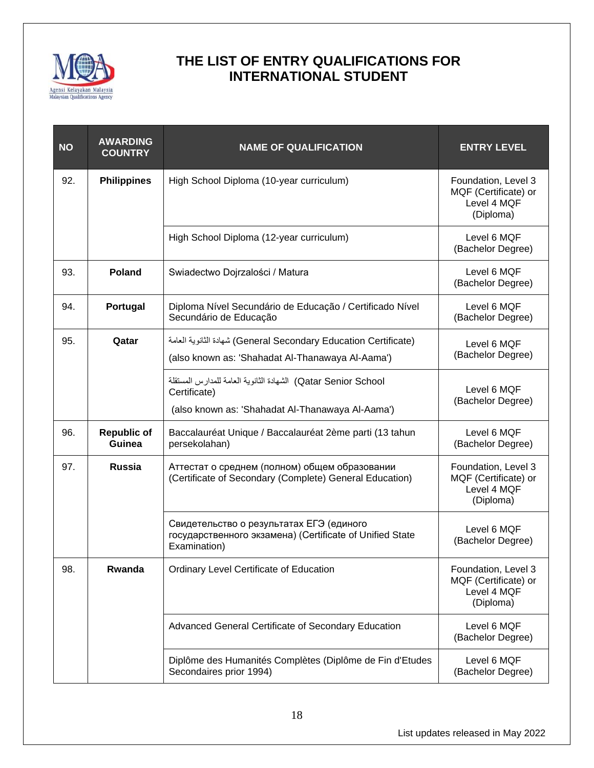

| <b>NO</b> | <b>AWARDING</b><br><b>COUNTRY</b> | <b>NAME OF QUALIFICATION</b>                                                                                                      | <b>ENTRY LEVEL</b>                                                      |
|-----------|-----------------------------------|-----------------------------------------------------------------------------------------------------------------------------------|-------------------------------------------------------------------------|
| 92.       | <b>Philippines</b>                | High School Diploma (10-year curriculum)                                                                                          | Foundation, Level 3<br>MQF (Certificate) or<br>Level 4 MQF<br>(Diploma) |
|           |                                   | High School Diploma (12-year curriculum)                                                                                          | Level 6 MQF<br>(Bachelor Degree)                                        |
| 93.       | <b>Poland</b>                     | Swiadectwo Dojrzalości / Matura                                                                                                   | Level 6 MQF<br>(Bachelor Degree)                                        |
| 94.       | Portugal                          | Diploma Nível Secundário de Educação / Certificado Nível<br>Secundário de Educação                                                | Level 6 MQF<br>(Bachelor Degree)                                        |
| 95.       | Qatar                             | (General Secondary Education Certificate) شهادة الثانوية العامة<br>(also known as: 'Shahadat Al-Thanawaya Al-Aama')               | Level 6 MQF<br>(Bachelor Degree)                                        |
|           |                                   | Qatar Senior School) الشهادة الثانوية العامة للمدارس المستقلة<br>Certificate)<br>(also known as: 'Shahadat Al-Thanawaya Al-Aama') | Level 6 MQF<br>(Bachelor Degree)                                        |
| 96.       | <b>Republic of</b><br>Guinea      | Baccalauréat Unique / Baccalauréat 2ème parti (13 tahun<br>persekolahan)                                                          | Level 6 MQF<br>(Bachelor Degree)                                        |
| 97.       | <b>Russia</b>                     | Аттестат о среднем (полном) общем образовании<br>(Certificate of Secondary (Complete) General Education)                          | Foundation, Level 3<br>MQF (Certificate) or<br>Level 4 MQF<br>(Diploma) |
|           |                                   | Свидетельство о результатах ЕГЭ (единого<br>государственного экзамена) (Certificate of Unified State<br>Examination)              | Level 6 MQF<br>(Bachelor Degree)                                        |
| 98.       | Rwanda                            | Ordinary Level Certificate of Education                                                                                           | Foundation, Level 3<br>MQF (Certificate) or<br>Level 4 MQF<br>(Diploma) |
|           |                                   | Advanced General Certificate of Secondary Education                                                                               | Level 6 MQF<br>(Bachelor Degree)                                        |
|           |                                   | Diplôme des Humanités Complètes (Diplôme de Fin d'Etudes<br>Secondaires prior 1994)                                               | Level 6 MQF<br>(Bachelor Degree)                                        |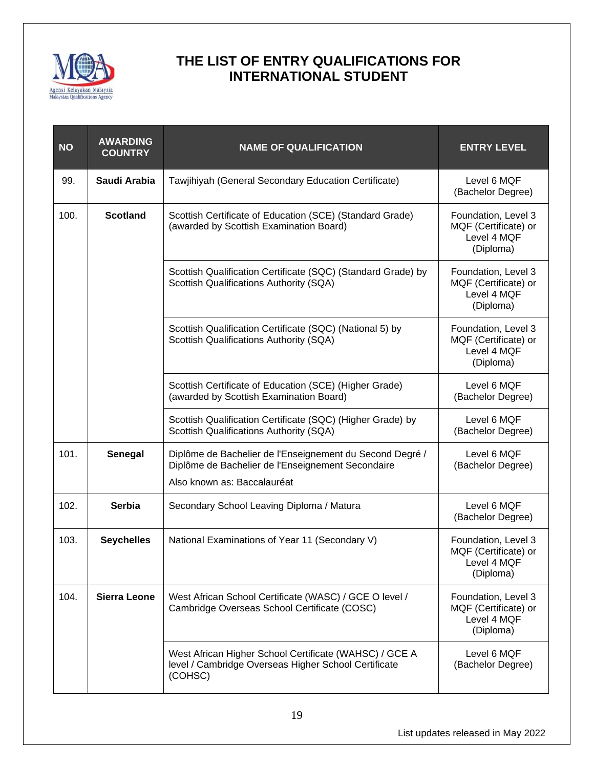

| <b>NO</b> | <b>AWARDING</b><br><b>COUNTRY</b> | <b>NAME OF QUALIFICATION</b>                                                                                                                 | <b>ENTRY LEVEL</b>                                                      |
|-----------|-----------------------------------|----------------------------------------------------------------------------------------------------------------------------------------------|-------------------------------------------------------------------------|
| 99.       | Saudi Arabia                      | Tawjihiyah (General Secondary Education Certificate)                                                                                         | Level 6 MQF<br>(Bachelor Degree)                                        |
| 100.      | <b>Scotland</b>                   | Scottish Certificate of Education (SCE) (Standard Grade)<br>(awarded by Scottish Examination Board)                                          | Foundation, Level 3<br>MQF (Certificate) or<br>Level 4 MQF<br>(Diploma) |
|           |                                   | Scottish Qualification Certificate (SQC) (Standard Grade) by<br>Scottish Qualifications Authority (SQA)                                      | Foundation, Level 3<br>MQF (Certificate) or<br>Level 4 MQF<br>(Diploma) |
|           |                                   | Scottish Qualification Certificate (SQC) (National 5) by<br>Scottish Qualifications Authority (SQA)                                          | Foundation, Level 3<br>MQF (Certificate) or<br>Level 4 MQF<br>(Diploma) |
|           |                                   | Scottish Certificate of Education (SCE) (Higher Grade)<br>(awarded by Scottish Examination Board)                                            | Level 6 MQF<br>(Bachelor Degree)                                        |
|           |                                   | Scottish Qualification Certificate (SQC) (Higher Grade) by<br>Scottish Qualifications Authority (SQA)                                        | Level 6 MQF<br>(Bachelor Degree)                                        |
| 101.      | Senegal                           | Diplôme de Bachelier de l'Enseignement du Second Degré /<br>Diplôme de Bachelier de l'Enseignement Secondaire<br>Also known as: Baccalauréat | Level 6 MQF<br>(Bachelor Degree)                                        |
| 102.      | <b>Serbia</b>                     | Secondary School Leaving Diploma / Matura                                                                                                    | Level 6 MQF<br>(Bachelor Degree)                                        |
| 103.      | <b>Seychelles</b>                 | National Examinations of Year 11 (Secondary V)                                                                                               | Foundation, Level 3<br>MQF (Certificate) or<br>Level 4 MQF<br>(Diploma) |
| 104.      | <b>Sierra Leone</b>               | West African School Certificate (WASC) / GCE O level /<br>Cambridge Overseas School Certificate (COSC)                                       | Foundation, Level 3<br>MQF (Certificate) or<br>Level 4 MQF<br>(Diploma) |
|           |                                   | West African Higher School Certificate (WAHSC) / GCE A<br>level / Cambridge Overseas Higher School Certificate<br>(COHSC)                    | Level 6 MQF<br>(Bachelor Degree)                                        |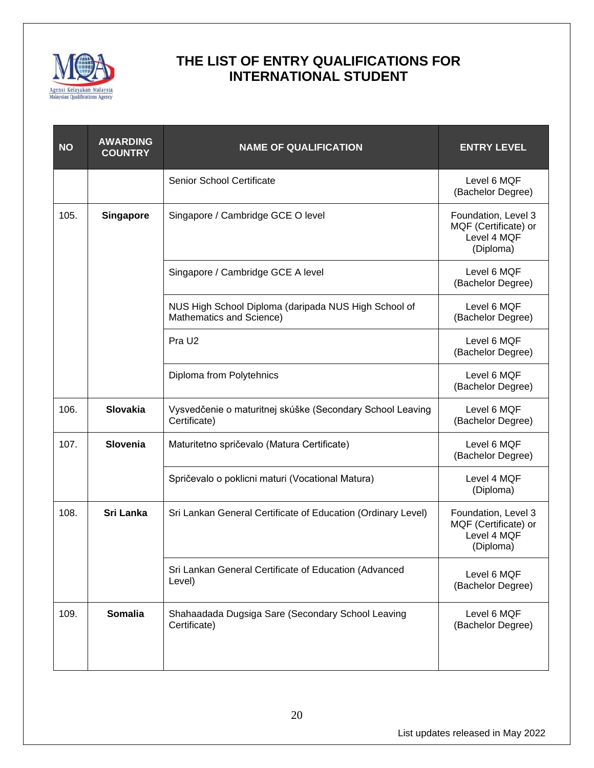

| <b>NO</b> | <b>AWARDING</b><br><b>COUNTRY</b> | <b>NAME OF QUALIFICATION</b>                                                     | <b>ENTRY LEVEL</b>                                                      |
|-----------|-----------------------------------|----------------------------------------------------------------------------------|-------------------------------------------------------------------------|
|           |                                   | Senior School Certificate                                                        | Level 6 MQF<br>(Bachelor Degree)                                        |
| 105.      | <b>Singapore</b>                  | Singapore / Cambridge GCE O level                                                | Foundation, Level 3<br>MQF (Certificate) or<br>Level 4 MQF<br>(Diploma) |
|           |                                   | Singapore / Cambridge GCE A level                                                | Level 6 MQF<br>(Bachelor Degree)                                        |
|           |                                   | NUS High School Diploma (daripada NUS High School of<br>Mathematics and Science) | Level 6 MQF<br>(Bachelor Degree)                                        |
|           |                                   | Pra U <sub>2</sub>                                                               | Level 6 MQF<br>(Bachelor Degree)                                        |
|           |                                   | Diploma from Polytehnics                                                         | Level 6 MQF<br>(Bachelor Degree)                                        |
| 106.      | <b>Slovakia</b>                   | Vysvedčenie o maturitnej skúške (Secondary School Leaving<br>Certificate)        | Level 6 MQF<br>(Bachelor Degree)                                        |
| 107.      | <b>Slovenia</b>                   | Maturitetno spričevalo (Matura Certificate)                                      | Level 6 MQF<br>(Bachelor Degree)                                        |
|           |                                   | Spričevalo o poklicni maturi (Vocational Matura)                                 | Level 4 MQF<br>(Diploma)                                                |
| 108.      | Sri Lanka                         | Sri Lankan General Certificate of Education (Ordinary Level)                     | Foundation, Level 3<br>MQF (Certificate) or<br>Level 4 MQF<br>(Diploma) |
|           |                                   | Sri Lankan General Certificate of Education (Advanced<br>Level)                  | Level 6 MQF<br>(Bachelor Degree)                                        |
| 109.      | <b>Somalia</b>                    | Shahaadada Dugsiga Sare (Secondary School Leaving<br>Certificate)                | Level 6 MQF<br>(Bachelor Degree)                                        |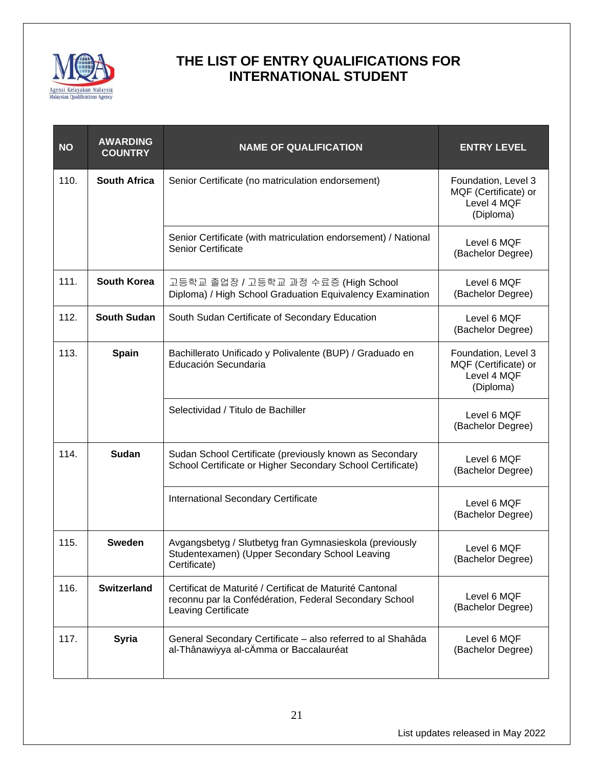

| <b>NO</b> | <b>AWARDING</b><br><b>COUNTRY</b> | <b>NAME OF QUALIFICATION</b>                                                                                                              | <b>ENTRY LEVEL</b>                                                      |
|-----------|-----------------------------------|-------------------------------------------------------------------------------------------------------------------------------------------|-------------------------------------------------------------------------|
| 110.      | <b>South Africa</b>               | Senior Certificate (no matriculation endorsement)                                                                                         | Foundation, Level 3<br>MQF (Certificate) or<br>Level 4 MQF<br>(Diploma) |
|           |                                   | Senior Certificate (with matriculation endorsement) / National<br><b>Senior Certificate</b>                                               | Level 6 MQF<br>(Bachelor Degree)                                        |
| 111.      | <b>South Korea</b>                | 고등학교 졸업장 / 고등학교 과정 수료증 (High School<br>Diploma) / High School Graduation Equivalency Examination                                          | Level 6 MQF<br>(Bachelor Degree)                                        |
| 112.      | <b>South Sudan</b>                | South Sudan Certificate of Secondary Education                                                                                            | Level 6 MQF<br>(Bachelor Degree)                                        |
| 113.      | <b>Spain</b>                      | Bachillerato Unificado y Polivalente (BUP) / Graduado en<br>Educación Secundaria                                                          | Foundation, Level 3<br>MQF (Certificate) or<br>Level 4 MQF<br>(Diploma) |
|           |                                   | Selectividad / Titulo de Bachiller                                                                                                        | Level 6 MQF<br>(Bachelor Degree)                                        |
| 114.      | Sudan                             | Sudan School Certificate (previously known as Secondary<br>School Certificate or Higher Secondary School Certificate)                     | Level 6 MQF<br>(Bachelor Degree)                                        |
|           |                                   | International Secondary Certificate                                                                                                       | Level 6 MQF<br>(Bachelor Degree)                                        |
| 115.      | <b>Sweden</b>                     | Avgangsbetyg / Slutbetyg fran Gymnasieskola (previously<br>Studentexamen) (Upper Secondary School Leaving<br>Certificate)                 | Level 6 MQF<br>(Bachelor Degree)                                        |
| 116.      | <b>Switzerland</b>                | Certificat de Maturité / Certificat de Maturité Cantonal<br>reconnu par la Confédération, Federal Secondary School<br>Leaving Certificate | Level 6 MQF<br>(Bachelor Degree)                                        |
| 117.      | <b>Syria</b>                      | General Secondary Certificate - also referred to al Shahâda<br>al-Thânawiyya al-cÄmma or Baccalauréat                                     | Level 6 MQF<br>(Bachelor Degree)                                        |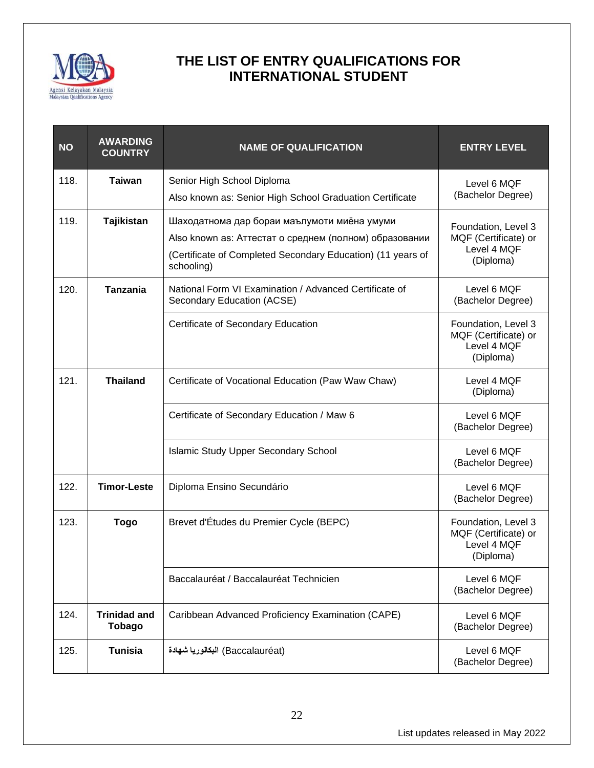

| <b>NO</b> | <b>AWARDING</b><br><b>COUNTRY</b>    | <b>NAME OF QUALIFICATION</b>                                                                                                                                                       | <b>ENTRY LEVEL</b>                                                      |
|-----------|--------------------------------------|------------------------------------------------------------------------------------------------------------------------------------------------------------------------------------|-------------------------------------------------------------------------|
| 118.      | Taiwan                               | Senior High School Diploma<br>Also known as: Senior High School Graduation Certificate                                                                                             | Level 6 MQF<br>(Bachelor Degree)                                        |
| 119.      | Tajikistan                           | Шаходатнома дар бораи маълумоти миёна умуми<br>Also known as: Аттестат о среднем (полном) образовании<br>(Certificate of Completed Secondary Education) (11 years of<br>schooling) | Foundation, Level 3<br>MQF (Certificate) or<br>Level 4 MQF<br>(Diploma) |
| 120.      | <b>Tanzania</b>                      | National Form VI Examination / Advanced Certificate of<br>Secondary Education (ACSE)                                                                                               | Level 6 MQF<br>(Bachelor Degree)                                        |
|           |                                      | Certificate of Secondary Education                                                                                                                                                 | Foundation, Level 3<br>MQF (Certificate) or<br>Level 4 MQF<br>(Diploma) |
| 121.      | <b>Thailand</b>                      | Certificate of Vocational Education (Paw Waw Chaw)                                                                                                                                 | Level 4 MQF<br>(Diploma)                                                |
|           |                                      | Certificate of Secondary Education / Maw 6                                                                                                                                         | Level 6 MQF<br>(Bachelor Degree)                                        |
|           |                                      | <b>Islamic Study Upper Secondary School</b>                                                                                                                                        | Level 6 MQF<br>(Bachelor Degree)                                        |
| 122.      | <b>Timor-Leste</b>                   | Diploma Ensino Secundário                                                                                                                                                          | Level 6 MQF<br>(Bachelor Degree)                                        |
| 123.      | <b>Togo</b>                          | Brevet d'Études du Premier Cycle (BEPC)                                                                                                                                            | Foundation, Level 3<br>MQF (Certificate) or<br>Level 4 MQF<br>(Diploma) |
|           |                                      | Baccalauréat / Baccalauréat Technicien                                                                                                                                             | Level 6 MQF<br>(Bachelor Degree)                                        |
| 124.      | <b>Trinidad and</b><br><b>Tobago</b> | Caribbean Advanced Proficiency Examination (CAPE)                                                                                                                                  | Level 6 MQF<br>(Bachelor Degree)                                        |
| 125.      | <b>Tunisia</b>                       | (Baccalauréat) البكالوريا شهادة                                                                                                                                                    | Level 6 MQF<br>(Bachelor Degree)                                        |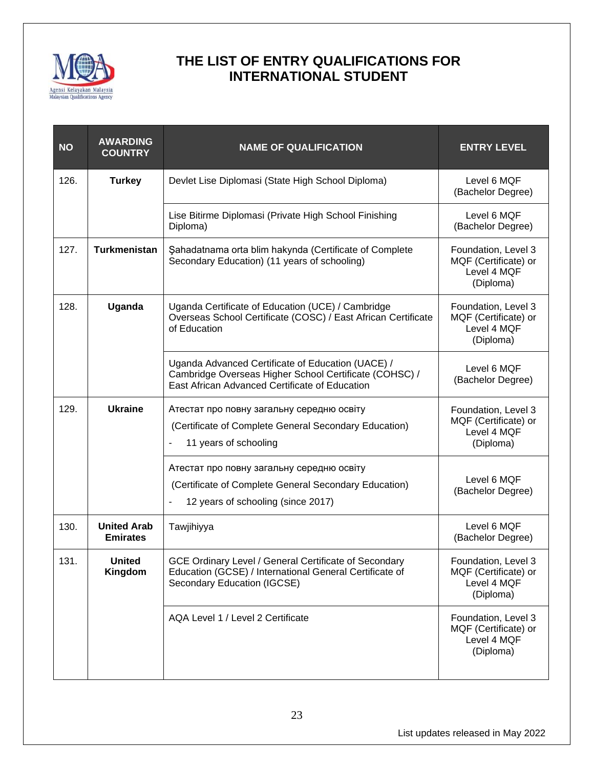

| <b>NO</b> | <b>AWARDING</b><br><b>COUNTRY</b>     | <b>NAME OF QUALIFICATION</b>                                                                                                                                  | <b>ENTRY LEVEL</b>                                                      |
|-----------|---------------------------------------|---------------------------------------------------------------------------------------------------------------------------------------------------------------|-------------------------------------------------------------------------|
| 126.      | <b>Turkey</b>                         | Devlet Lise Diplomasi (State High School Diploma)                                                                                                             | Level 6 MQF<br>(Bachelor Degree)                                        |
|           |                                       | Lise Bitirme Diplomasi (Private High School Finishing<br>Diploma)                                                                                             | Level 6 MQF<br>(Bachelor Degree)                                        |
| 127.      | <b>Turkmenistan</b>                   | Sahadatnama orta blim hakynda (Certificate of Complete<br>Secondary Education) (11 years of schooling)                                                        | Foundation, Level 3<br>MQF (Certificate) or<br>Level 4 MQF<br>(Diploma) |
| 128.      | Uganda                                | Uganda Certificate of Education (UCE) / Cambridge<br>Overseas School Certificate (COSC) / East African Certificate<br>of Education                            | Foundation, Level 3<br>MQF (Certificate) or<br>Level 4 MQF<br>(Diploma) |
|           |                                       | Uganda Advanced Certificate of Education (UACE) /<br>Cambridge Overseas Higher School Certificate (COHSC) /<br>East African Advanced Certificate of Education | Level 6 MQF<br>(Bachelor Degree)                                        |
| 129.      | <b>Ukraine</b>                        | Атестат про повну загальну середню освіту<br>(Certificate of Complete General Secondary Education)<br>11 years of schooling                                   | Foundation, Level 3<br>MQF (Certificate) or<br>Level 4 MQF<br>(Diploma) |
|           |                                       | Атестат про повну загальну середню освіту<br>(Certificate of Complete General Secondary Education)<br>12 years of schooling (since 2017)                      | Level 6 MQF<br>(Bachelor Degree)                                        |
| 130.      | <b>United Arab</b><br><b>Emirates</b> | Tawjihiyya                                                                                                                                                    | Level 6 MQF<br>(Bachelor Degree)                                        |
| 131.      | <b>United</b><br>Kingdom              | GCE Ordinary Level / General Certificate of Secondary<br>Education (GCSE) / International General Certificate of<br>Secondary Education (IGCSE)               | Foundation, Level 3<br>MQF (Certificate) or<br>Level 4 MQF<br>(Diploma) |
|           |                                       | AQA Level 1 / Level 2 Certificate                                                                                                                             | Foundation, Level 3<br>MQF (Certificate) or<br>Level 4 MQF<br>(Diploma) |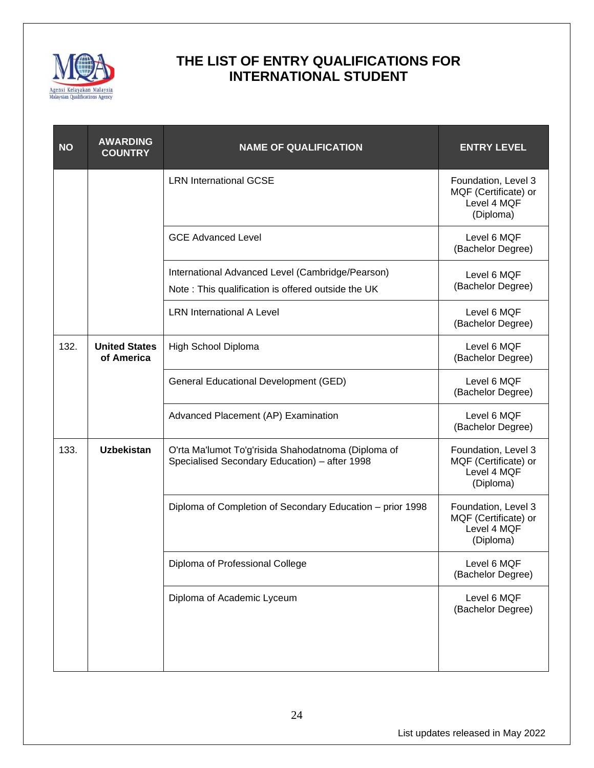

| <b>NO</b> | <b>AWARDING</b><br><b>COUNTRY</b>  | <b>NAME OF QUALIFICATION</b>                                                                           | <b>ENTRY LEVEL</b>                                                      |
|-----------|------------------------------------|--------------------------------------------------------------------------------------------------------|-------------------------------------------------------------------------|
|           |                                    | <b>LRN International GCSE</b>                                                                          | Foundation, Level 3<br>MQF (Certificate) or<br>Level 4 MQF<br>(Diploma) |
|           |                                    | <b>GCE Advanced Level</b>                                                                              | Level 6 MQF<br>(Bachelor Degree)                                        |
|           |                                    | International Advanced Level (Cambridge/Pearson)<br>Note: This qualification is offered outside the UK | Level 6 MQF<br>(Bachelor Degree)                                        |
|           |                                    | <b>LRN</b> International A Level                                                                       | Level 6 MQF<br>(Bachelor Degree)                                        |
| 132.      | <b>United States</b><br>of America | High School Diploma                                                                                    | Level 6 MQF<br>(Bachelor Degree)                                        |
|           |                                    | General Educational Development (GED)                                                                  | Level 6 MQF<br>(Bachelor Degree)                                        |
|           |                                    | Advanced Placement (AP) Examination                                                                    | Level 6 MQF<br>(Bachelor Degree)                                        |
| 133.      | <b>Uzbekistan</b>                  | O'rta Ma'lumot To'g'risida Shahodatnoma (Diploma of<br>Specialised Secondary Education) - after 1998   | Foundation, Level 3<br>MQF (Certificate) or<br>Level 4 MQF<br>(Diploma) |
|           |                                    | Diploma of Completion of Secondary Education - prior 1998                                              | Foundation, Level 3<br>MQF (Certificate) or<br>Level 4 MQF<br>(Diploma) |
|           |                                    | Diploma of Professional College                                                                        | Level 6 MQF<br>(Bachelor Degree)                                        |
|           |                                    | Diploma of Academic Lyceum                                                                             | Level 6 MQF<br>(Bachelor Degree)                                        |
|           |                                    |                                                                                                        |                                                                         |